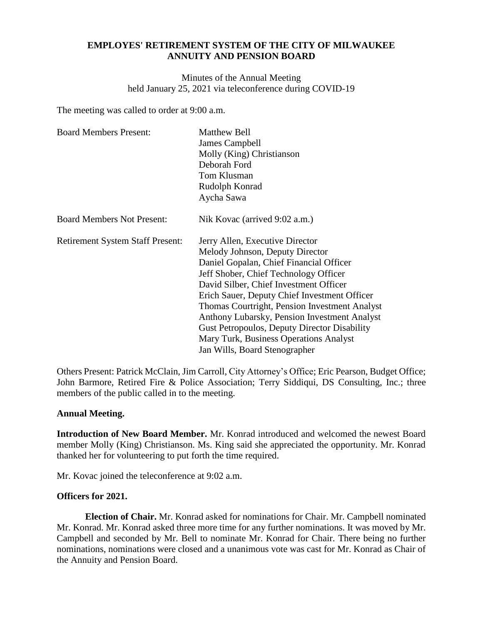## **EMPLOYES' RETIREMENT SYSTEM OF THE CITY OF MILWAUKEE ANNUITY AND PENSION BOARD**

Minutes of the Annual Meeting held January 25, 2021 via teleconference during COVID-19

The meeting was called to order at 9:00 a.m.

| <b>Board Members Present:</b>           | <b>Matthew Bell</b><br>James Campbell<br>Molly (King) Christianson<br>Deborah Ford<br>Tom Klusman<br>Rudolph Konrad                                                                                                                                                                                                                                                                                                                                                                 |
|-----------------------------------------|-------------------------------------------------------------------------------------------------------------------------------------------------------------------------------------------------------------------------------------------------------------------------------------------------------------------------------------------------------------------------------------------------------------------------------------------------------------------------------------|
|                                         | Aycha Sawa                                                                                                                                                                                                                                                                                                                                                                                                                                                                          |
| <b>Board Members Not Present:</b>       | Nik Kovac (arrived 9:02 a.m.)                                                                                                                                                                                                                                                                                                                                                                                                                                                       |
| <b>Retirement System Staff Present:</b> | Jerry Allen, Executive Director<br>Melody Johnson, Deputy Director<br>Daniel Gopalan, Chief Financial Officer<br>Jeff Shober, Chief Technology Officer<br>David Silber, Chief Investment Officer<br>Erich Sauer, Deputy Chief Investment Officer<br>Thomas Courtright, Pension Investment Analyst<br>Anthony Lubarsky, Pension Investment Analyst<br><b>Gust Petropoulos, Deputy Director Disability</b><br>Mary Turk, Business Operations Analyst<br>Jan Wills, Board Stenographer |

Others Present: Patrick McClain, Jim Carroll, City Attorney's Office; Eric Pearson, Budget Office; John Barmore, Retired Fire & Police Association; Terry Siddiqui, DS Consulting, Inc.; three members of the public called in to the meeting.

### **Annual Meeting.**

**Introduction of New Board Member.** Mr. Konrad introduced and welcomed the newest Board member Molly (King) Christianson. Ms. King said she appreciated the opportunity. Mr. Konrad thanked her for volunteering to put forth the time required.

Mr. Kovac joined the teleconference at 9:02 a.m.

# **Officers for 2021.**

**Election of Chair.** Mr. Konrad asked for nominations for Chair. Mr. Campbell nominated Mr. Konrad. Mr. Konrad asked three more time for any further nominations. It was moved by Mr. Campbell and seconded by Mr. Bell to nominate Mr. Konrad for Chair. There being no further nominations, nominations were closed and a unanimous vote was cast for Mr. Konrad as Chair of the Annuity and Pension Board.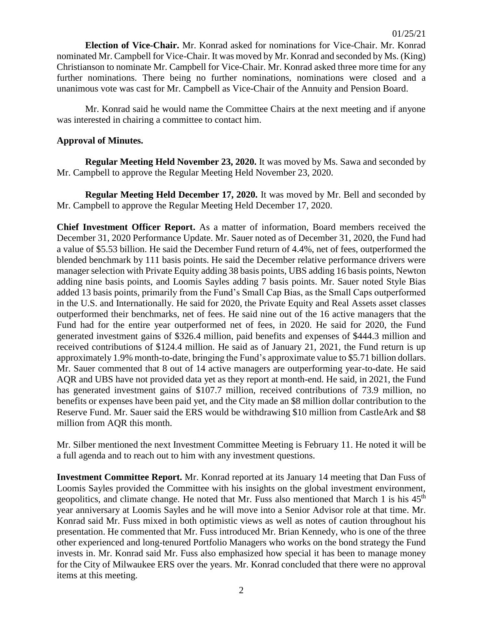**Election of Vice-Chair.** Mr. Konrad asked for nominations for Vice-Chair. Mr. Konrad nominated Mr. Campbell for Vice-Chair. It was moved by Mr. Konrad and seconded by Ms. (King) Christianson to nominate Mr. Campbell for Vice-Chair. Mr. Konrad asked three more time for any further nominations. There being no further nominations, nominations were closed and a unanimous vote was cast for Mr. Campbell as Vice-Chair of the Annuity and Pension Board.

Mr. Konrad said he would name the Committee Chairs at the next meeting and if anyone was interested in chairing a committee to contact him.

## **Approval of Minutes.**

**Regular Meeting Held November 23, 2020.** It was moved by Ms. Sawa and seconded by Mr. Campbell to approve the Regular Meeting Held November 23, 2020.

**Regular Meeting Held December 17, 2020.** It was moved by Mr. Bell and seconded by Mr. Campbell to approve the Regular Meeting Held December 17, 2020.

**Chief Investment Officer Report.** As a matter of information, Board members received the December 31, 2020 Performance Update. Mr. Sauer noted as of December 31, 2020, the Fund had a value of \$5.53 billion. He said the December Fund return of 4.4%, net of fees, outperformed the blended benchmark by 111 basis points. He said the December relative performance drivers were manager selection with Private Equity adding 38 basis points, UBS adding 16 basis points, Newton adding nine basis points, and Loomis Sayles adding 7 basis points. Mr. Sauer noted Style Bias added 13 basis points, primarily from the Fund's Small Cap Bias, as the Small Caps outperformed in the U.S. and Internationally. He said for 2020, the Private Equity and Real Assets asset classes outperformed their benchmarks, net of fees. He said nine out of the 16 active managers that the Fund had for the entire year outperformed net of fees, in 2020. He said for 2020, the Fund generated investment gains of \$326.4 million, paid benefits and expenses of \$444.3 million and received contributions of \$124.4 million. He said as of January 21, 2021, the Fund return is up approximately 1.9% month-to-date, bringing the Fund's approximate value to \$5.71 billion dollars. Mr. Sauer commented that 8 out of 14 active managers are outperforming year-to-date. He said AQR and UBS have not provided data yet as they report at month-end. He said, in 2021, the Fund has generated investment gains of \$107.7 million, received contributions of 73.9 million, no benefits or expenses have been paid yet, and the City made an \$8 million dollar contribution to the Reserve Fund. Mr. Sauer said the ERS would be withdrawing \$10 million from CastleArk and \$8 million from AQR this month.

Mr. Silber mentioned the next Investment Committee Meeting is February 11. He noted it will be a full agenda and to reach out to him with any investment questions.

**Investment Committee Report.** Mr. Konrad reported at its January 14 meeting that Dan Fuss of Loomis Sayles provided the Committee with his insights on the global investment environment, geopolitics, and climate change. He noted that Mr. Fuss also mentioned that March 1 is his 45<sup>th</sup> year anniversary at Loomis Sayles and he will move into a Senior Advisor role at that time. Mr. Konrad said Mr. Fuss mixed in both optimistic views as well as notes of caution throughout his presentation. He commented that Mr. Fuss introduced Mr. Brian Kennedy, who is one of the three other experienced and long-tenured Portfolio Managers who works on the bond strategy the Fund invests in. Mr. Konrad said Mr. Fuss also emphasized how special it has been to manage money for the City of Milwaukee ERS over the years. Mr. Konrad concluded that there were no approval items at this meeting.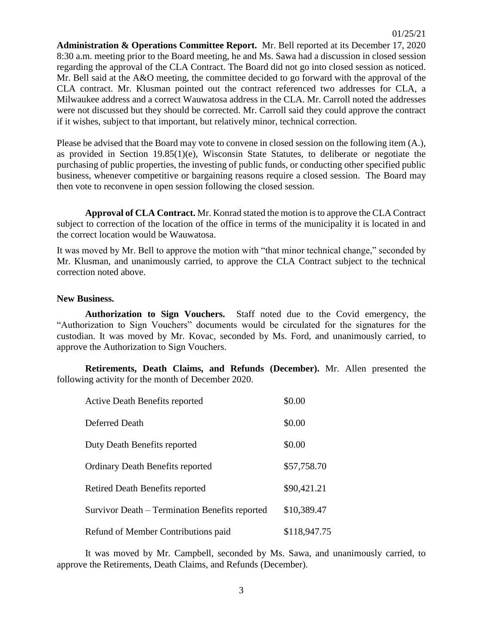**Administration & Operations Committee Report.** Mr. Bell reported at its December 17, 2020 8:30 a.m. meeting prior to the Board meeting, he and Ms. Sawa had a discussion in closed session regarding the approval of the CLA Contract. The Board did not go into closed session as noticed. Mr. Bell said at the A&O meeting, the committee decided to go forward with the approval of the CLA contract. Mr. Klusman pointed out the contract referenced two addresses for CLA, a Milwaukee address and a correct Wauwatosa address in the CLA. Mr. Carroll noted the addresses were not discussed but they should be corrected. Mr. Carroll said they could approve the contract if it wishes, subject to that important, but relatively minor, technical correction.

Please be advised that the Board may vote to convene in closed session on the following item (A.), as provided in Section 19.85(1)(e), Wisconsin State Statutes, to deliberate or negotiate the purchasing of public properties, the investing of public funds, or conducting other specified public business, whenever competitive or bargaining reasons require a closed session. The Board may then vote to reconvene in open session following the closed session.

**Approval of CLA Contract.** Mr. Konrad stated the motion is to approve the CLA Contract subject to correction of the location of the office in terms of the municipality it is located in and the correct location would be Wauwatosa.

It was moved by Mr. Bell to approve the motion with "that minor technical change," seconded by Mr. Klusman, and unanimously carried, to approve the CLA Contract subject to the technical correction noted above.

### **New Business.**

**Authorization to Sign Vouchers.** Staff noted due to the Covid emergency, the "Authorization to Sign Vouchers" documents would be circulated for the signatures for the custodian. It was moved by Mr. Kovac, seconded by Ms. Ford, and unanimously carried, to approve the Authorization to Sign Vouchers.

**Retirements, Death Claims, and Refunds (December).** Mr. Allen presented the following activity for the month of December 2020.

| <b>Active Death Benefits reported</b>          | \$0.00       |
|------------------------------------------------|--------------|
| Deferred Death                                 | \$0.00       |
| Duty Death Benefits reported                   | \$0.00       |
| <b>Ordinary Death Benefits reported</b>        | \$57,758.70  |
| Retired Death Benefits reported                | \$90,421.21  |
| Survivor Death – Termination Benefits reported | \$10,389.47  |
| Refund of Member Contributions paid            | \$118,947.75 |

It was moved by Mr. Campbell, seconded by Ms. Sawa, and unanimously carried, to approve the Retirements, Death Claims, and Refunds (December).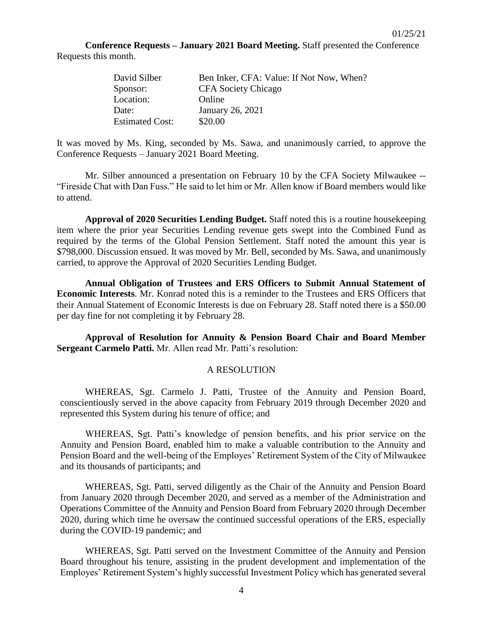01/25/21

**Conference Requests – January 2021 Board Meeting.** Staff presented the Conference Requests this month.

| David Silber           | Ben Inker, CFA: Value: If Not Now, When? |
|------------------------|------------------------------------------|
| Sponsor:               | <b>CFA</b> Society Chicago               |
| Location:              | Online                                   |
| Date:                  | January 26, 2021                         |
| <b>Estimated Cost:</b> | \$20.00                                  |

It was moved by Ms. King, seconded by Ms. Sawa, and unanimously carried, to approve the Conference Requests – January 2021 Board Meeting.

Mr. Silber announced a presentation on February 10 by the CFA Society Milwaukee -- "Fireside Chat with Dan Fuss." He said to let him or Mr. Allen know if Board members would like to attend.

**Approval of 2020 Securities Lending Budget.** Staff noted this is a routine housekeeping item where the prior year Securities Lending revenue gets swept into the Combined Fund as required by the terms of the Global Pension Settlement. Staff noted the amount this year is \$798,000. Discussion ensued. It was moved by Mr. Bell, seconded by Ms. Sawa, and unanimously carried, to approve the Approval of 2020 Securities Lending Budget.

**Annual Obligation of Trustees and ERS Officers to Submit Annual Statement of Economic Interests**. Mr. Konrad noted this is a reminder to the Trustees and ERS Officers that their Annual Statement of Economic Interests is due on February 28. Staff noted there is a \$50.00 per day fine for not completing it by February 28.

**Approval of Resolution for Annuity & Pension Board Chair and Board Member Sergeant Carmelo Patti.** Mr. Allen read Mr. Patti's resolution:

#### A RESOLUTION

WHEREAS, Sgt. Carmelo J. Patti, Trustee of the Annuity and Pension Board, conscientiously served in the above capacity from February 2019 through December 2020 and represented this System during his tenure of office; and

WHEREAS, Sgt. Patti's knowledge of pension benefits, and his prior service on the Annuity and Pension Board, enabled him to make a valuable contribution to the Annuity and Pension Board and the well-being of the Employes' Retirement System of the City of Milwaukee and its thousands of participants; and

WHEREAS, Sgt. Patti, served diligently as the Chair of the Annuity and Pension Board from January 2020 through December 2020, and served as a member of the Administration and Operations Committee of the Annuity and Pension Board from February 2020 through December 2020, during which time he oversaw the continued successful operations of the ERS, especially during the COVID-19 pandemic; and

WHEREAS, Sgt. Patti served on the Investment Committee of the Annuity and Pension Board throughout his tenure, assisting in the prudent development and implementation of the Employes' Retirement System's highly successful Investment Policy which has generated several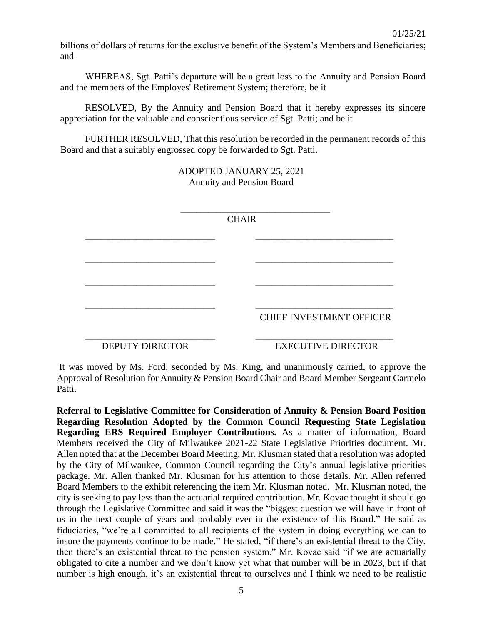billions of dollars of returns for the exclusive benefit of the System's Members and Beneficiaries; and

WHEREAS, Sgt. Patti's departure will be a great loss to the Annuity and Pension Board and the members of the Employes' Retirement System; therefore, be it

RESOLVED, By the Annuity and Pension Board that it hereby expresses its sincere appreciation for the valuable and conscientious service of Sgt. Patti; and be it

FURTHER RESOLVED, That this resolution be recorded in the permanent records of this Board and that a suitably engrossed copy be forwarded to Sgt. Patti.

> ADOPTED JANUARY 25, 2021 Annuity and Pension Board

|                        | <b>CHAIR</b> |                                 |
|------------------------|--------------|---------------------------------|
|                        |              |                                 |
|                        |              |                                 |
|                        |              |                                 |
|                        |              |                                 |
|                        |              |                                 |
|                        |              | <b>CHIEF INVESTMENT OFFICER</b> |
| <b>DEPUTY DIRECTOR</b> |              | <b>EXECUTIVE DIRECTOR</b>       |

It was moved by Ms. Ford, seconded by Ms. King, and unanimously carried, to approve the Approval of Resolution for Annuity & Pension Board Chair and Board Member Sergeant Carmelo Patti.

**Referral to Legislative Committee for Consideration of Annuity & Pension Board Position Regarding Resolution Adopted by the Common Council Requesting State Legislation Regarding ERS Required Employer Contributions.** As a matter of information, Board Members received the City of Milwaukee 2021-22 State Legislative Priorities document. Mr. Allen noted that at the December Board Meeting, Mr. Klusman stated that a resolution was adopted by the City of Milwaukee, Common Council regarding the City's annual legislative priorities package. Mr. Allen thanked Mr. Klusman for his attention to those details. Mr. Allen referred Board Members to the exhibit referencing the item Mr. Klusman noted. Mr. Klusman noted, the city is seeking to pay less than the actuarial required contribution. Mr. Kovac thought it should go through the Legislative Committee and said it was the "biggest question we will have in front of us in the next couple of years and probably ever in the existence of this Board." He said as fiduciaries, "we're all committed to all recipients of the system in doing everything we can to insure the payments continue to be made." He stated, "if there's an existential threat to the City, then there's an existential threat to the pension system." Mr. Kovac said "if we are actuarially obligated to cite a number and we don't know yet what that number will be in 2023, but if that number is high enough, it's an existential threat to ourselves and I think we need to be realistic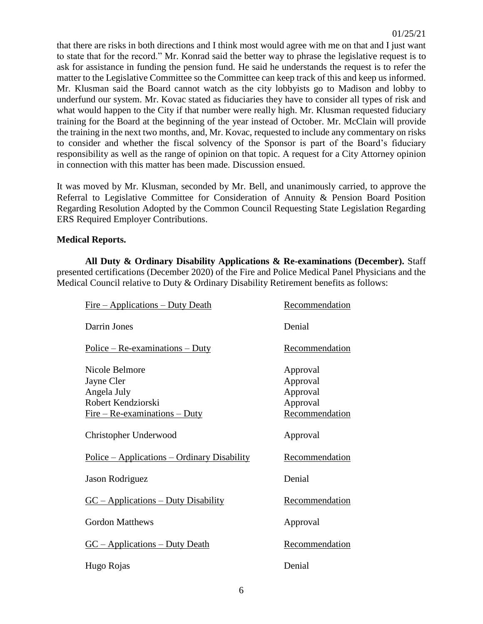that there are risks in both directions and I think most would agree with me on that and I just want to state that for the record." Mr. Konrad said the better way to phrase the legislative request is to ask for assistance in funding the pension fund. He said he understands the request is to refer the matter to the Legislative Committee so the Committee can keep track of this and keep us informed. Mr. Klusman said the Board cannot watch as the city lobbyists go to Madison and lobby to underfund our system. Mr. Kovac stated as fiduciaries they have to consider all types of risk and what would happen to the City if that number were really high. Mr. Klusman requested fiduciary training for the Board at the beginning of the year instead of October. Mr. McClain will provide the training in the next two months, and, Mr. Kovac, requested to include any commentary on risks to consider and whether the fiscal solvency of the Sponsor is part of the Board's fiduciary responsibility as well as the range of opinion on that topic. A request for a City Attorney opinion in connection with this matter has been made. Discussion ensued.

It was moved by Mr. Klusman, seconded by Mr. Bell, and unanimously carried, to approve the Referral to Legislative Committee for Consideration of Annuity & Pension Board Position Regarding Resolution Adopted by the Common Council Requesting State Legislation Regarding ERS Required Employer Contributions.

#### **Medical Reports.**

**All Duty & Ordinary Disability Applications & Re-examinations (December).** Staff presented certifications (December 2020) of the Fire and Police Medical Panel Physicians and the Medical Council relative to Duty & Ordinary Disability Retirement benefits as follows:

| <u>Fire – Applications – Duty Death</u>             | Recommendation        |
|-----------------------------------------------------|-----------------------|
| Darrin Jones                                        | Denial                |
| $Police - Re-examinations - Duty$                   | Recommendation        |
| Nicole Belmore                                      | Approval              |
| Jayne Cler                                          | Approval              |
| Angela July                                         | Approval              |
| Robert Kendziorski                                  | Approval              |
| $Fire - Re-examination - Duty$                      | <b>Recommendation</b> |
| Christopher Underwood                               | Approval              |
| <u> Police – Applications – Ordinary Disability</u> | Recommendation        |
| Jason Rodriguez                                     | Denial                |
| $GC - Applications - Duty Disability$               | Recommendation        |
| <b>Gordon Matthews</b>                              | Approval              |
| $GC - Applications - Duty Death$                    | <b>Recommendation</b> |
| Hugo Rojas                                          | Denial                |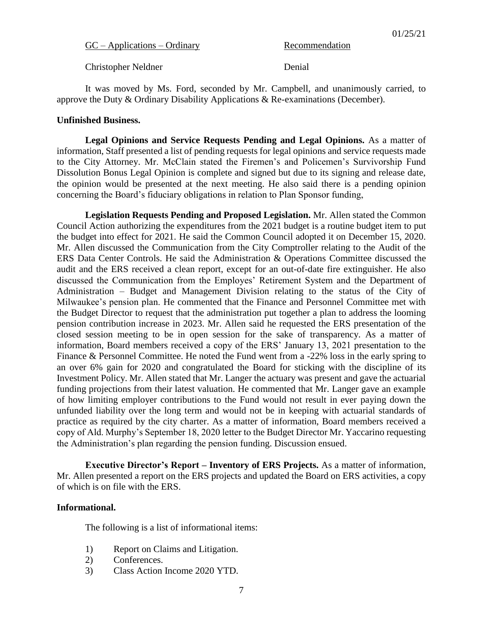$GC - Applications - Ordinary$  Recommendation

Christopher Neldner Denial

It was moved by Ms. Ford, seconded by Mr. Campbell, and unanimously carried, to approve the Duty & Ordinary Disability Applications & Re-examinations (December).

#### **Unfinished Business.**

**Legal Opinions and Service Requests Pending and Legal Opinions.** As a matter of information, Staff presented a list of pending requests for legal opinions and service requests made to the City Attorney. Mr. McClain stated the Firemen's and Policemen's Survivorship Fund Dissolution Bonus Legal Opinion is complete and signed but due to its signing and release date, the opinion would be presented at the next meeting. He also said there is a pending opinion concerning the Board's fiduciary obligations in relation to Plan Sponsor funding,

**Legislation Requests Pending and Proposed Legislation.** Mr. Allen stated the Common Council Action authorizing the expenditures from the 2021 budget is a routine budget item to put the budget into effect for 2021. He said the Common Council adopted it on December 15, 2020. Mr. Allen discussed the Communication from the City Comptroller relating to the Audit of the ERS Data Center Controls. He said the Administration & Operations Committee discussed the audit and the ERS received a clean report, except for an out-of-date fire extinguisher. He also discussed the Communication from the Employes' Retirement System and the Department of Administration – Budget and Management Division relating to the status of the City of Milwaukee's pension plan. He commented that the Finance and Personnel Committee met with the Budget Director to request that the administration put together a plan to address the looming pension contribution increase in 2023. Mr. Allen said he requested the ERS presentation of the closed session meeting to be in open session for the sake of transparency. As a matter of information, Board members received a copy of the ERS' January 13, 2021 presentation to the Finance & Personnel Committee. He noted the Fund went from a -22% loss in the early spring to an over 6% gain for 2020 and congratulated the Board for sticking with the discipline of its Investment Policy. Mr. Allen stated that Mr. Langer the actuary was present and gave the actuarial funding projections from their latest valuation. He commented that Mr. Langer gave an example of how limiting employer contributions to the Fund would not result in ever paying down the unfunded liability over the long term and would not be in keeping with actuarial standards of practice as required by the city charter. As a matter of information, Board members received a copy of Ald. Murphy's September 18, 2020 letter to the Budget Director Mr. Yaccarino requesting the Administration's plan regarding the pension funding. Discussion ensued.

**Executive Director's Report – Inventory of ERS Projects.** As a matter of information, Mr. Allen presented a report on the ERS projects and updated the Board on ERS activities, a copy of which is on file with the ERS.

#### **Informational.**

The following is a list of informational items:

- 1) Report on Claims and Litigation.
- 2) Conferences.
- 3) Class Action Income 2020 YTD.